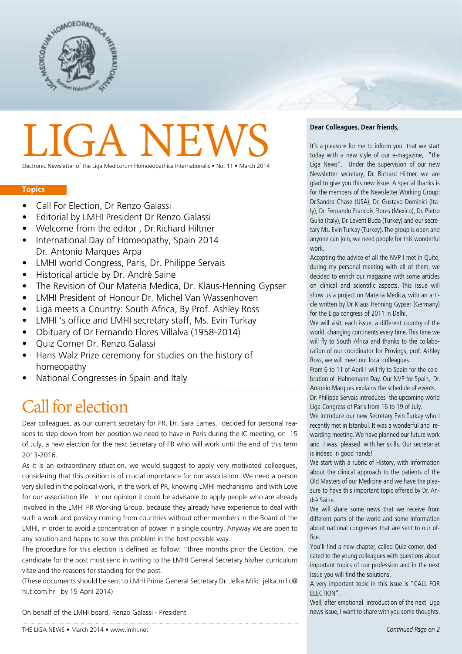

# **LIGA NEW**

Electronic Newsletter of the Liga Medicorum Homoeopathica Internationalis • No. 11 • March 2014

#### **Topics**

- Call For Election, Dr Renzo Galassi
- Editorial by LMHI President Dr Renzo Galassi
- Welcome from the editor , Dr.Richard Hiltner
- International Day of Homeopathy, Spain 2014 Dr. Antonio Marques Arpa
- LMHI world Congress, Paris, Dr. Philippe Servais
- Historical article by Dr. Andrè Saine
- The Revision of Our Materia Medica, Dr. Klaus-Henning Gypser
- LMHI President of Honour Dr. Michel Van Wassenhoven
- Liga meets a Country: South Africa, By Prof. Ashley Ross
- LMHI 's office and LMHI secretary staff, Ms. Evin Turkay
- Obituary of Dr Fernando Flores Villalva (1958-2014)
- Quiz Corner Dr. Renzo Galassi
- Hans Walz Prize ceremony for studies on the history of homeopathy
- National Congresses in Spain and Italy

## Call for election

Dear colleagues, as our current secretary for PR, Dr. Sara Eames, decided for personal reasons to step down from her position we need to have in Paris during the IC meeting, on 15 of July, a new election for the next Secretary of PR who will work until the end of this term 2013-2016.

As it is an extraordinary situation, we would suggest to apply very motivated colleagues, considering that this position is of crucial importance for our association. We need a person very skilled in the political work, in the work of PR, knowing LMHI mechanisms and with Love for our association life. In our opinion it could be advisable to apply people who are already involved in the LMHI PR Working Group, because they already have experience to deal with such a work and possibly coming from countries without other members in the Board of the LMHI, in order to avoid a concentration of power in a single country. Anyway we are open to any solution and happy to solve this problem in the best possible way.

The procedure for this election is defined as follow: "three months prior the Election, the candidate for the post must send in writing to the LMHI General Secretary his/her curriculum vitae and the reasons for standing for the post.

(These documents should be sent to LMHI Prime General Secretary Dr. Jelka Milic jelka.milic@ hi.t-com.hr by 15 April 2014)

#### On behalf of the LMHI board, Renzo Galassi - President

#### **Dear Colleagues, Dear friends,**

It's a pleasure for me to inform you that we start today with a new style of our e-magazine, "the Liga News". Under the supervision of our new Newsletter secretary, Dr. Richard Hiltner, we are glad to give you this new issue. A special thanks is for the members of the Newsletter Working Group: Dr.Sandra Chase (USA), Dr. Gustavo Dominici (Italy), Dr. Fernando Francois Flores (Mexico), Dr. Pietro Gulia (Italy), Dr. Levent Buda (Turkey) and our secretary Ms. Evin Turkay (Turkey). The group is open and anyone can join, we need people for this wonderful work.

Accepting the advice of all the NVP I met in Quito, during my personal meeting with all of them, we decided to enrich our magazine with some articles on clinical and scientific aspects. This issue will show us a project on Materia Medica, with an article written by Dr Klaus Henning Gypser (Germany) for the Liga congress of 2011 in Delhi.

We will visit, each issue, a different country of the world, changing continents every time. This time we will fly to South Africa and thanks to the collaboration of our coordinator for Provings, prof. Ashley Ross, we will meet our local colleagues.

From 6 to 11 of April I will fly to Spain for the celebration of Hahnemann Day. Our NVP for Spain, Dr. Antonio Marques explains the schedule of events.

Dr. Philippe Servais introduces the upcoming world Liga Congress of Paris from 16 to 19 of July.

We introduce our new Secretary Evin Turkay who I recently met in Istanbul. It was a wonderful and rewarding meeting. We have planned our future work and I was pleased with her skills. Our secretariat is indeed in good hands!

We start with a rubric of History, with information about the clinical approach to the patients of the Old Masters of our Medicine and we have the pleasure to have this important topic offered by Dr. Andrè Saine.

We will share some news that we receive from different parts of the world and some information about national congresses that are sent to our office.

You'll find a new chapter, called Quiz corner, dedicated to the young colleagues with questions about important topics of our profession and in the next issue you will find the solutions.

A very important topic in this issue is "CALL FOR ELECTION".

Well, after emotional introduction of the next Liga news issue, I want to share with you some thoughts.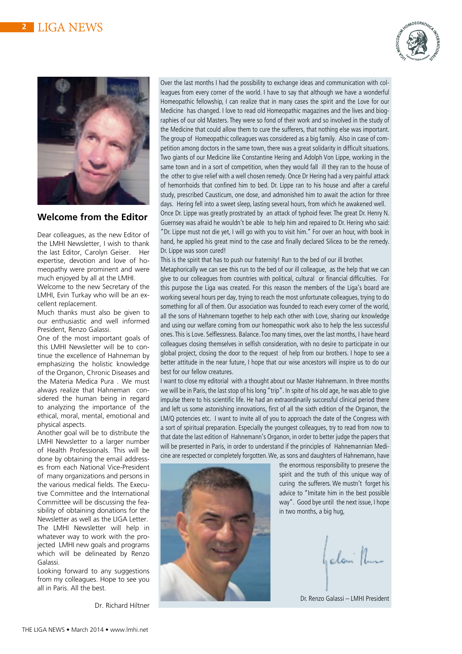



## **Welcome from the Editor**

Dear colleagues, as the new Editor of the LMHI Newsletter, I wish to thank the last Editor, Carolyn Geiser. Her expertise, devotion and love of homeopathy were prominent and were much enjoyed by all at the LMHI.

Welcome to the new Secretary of the LMHI, Evin Turkay who will be an excellent replacement.

Much thanks must also be given to our enthusiastic and well informed President, Renzo Galassi.

One of the most important goals of this LMHI Newsletter will be to continue the excellence of Hahneman by emphasizing the holistic knowledge of the Organon, Chronic Diseases and the Materia Medica Pura . We must always realize that Hahneman considered the human being in regard to analyzing the importance of the ethical, moral, mental, emotional and physical aspects.

Another goal will be to distribute the LMHI Newsletter to a larger number of Health Professionals. This will be done by obtaining the email addresses from each National Vice-President of many organizations and persons in the various medical fields. The Executive Committee and the International Committee will be discussing the feasibility of obtaining donations for the Newsletter as well as the LIGA Letter. The LMHI Newsletter will help in whatever way to work with the projected LMHI new goals and programs which will be delineated by Renzo Galassi.

Looking forward to any suggestions from my colleagues. Hope to see you all in Paris. All the best.

Dr. Richard Hiltner

Over the last months I had the possibility to exchange ideas and communication with colleagues from every corner of the world. I have to say that although we have a wonderful Homeopathic fellowship, I can realize that in many cases the spirit and the Love for our Medicine has changed. I love to read old Homeopathic magazines and the lives and biographies of our old Masters. They were so fond of their work and so involved in the study of the Medicine that could allow them to cure the sufferers, that nothing else was important. The group of Homeopathic colleagues was considered as a big family. Also in case of competition among doctors in the same town, there was a great solidarity in difficult situations. Two giants of our Medicine like Constantine Hering and Adolph Von Lippe, working in the same town and in a sort of competition, when they would fall ill they ran to the house of the other to give relief with a well chosen remedy. Once Dr Hering had a very painful attack of hemorrhoids that confined him to bed. Dr. Lippe ran to his house and after a careful study, prescribed Causticum, one dose, and admonished him to await the action for three days. Hering fell into a sweet sleep, lasting several hours, from which he awakened well. Once Dr. Lippe was greatly prostrated by an attack of typhoid fever. The great Dr. Henry N. Guernsey was afraid he wouldn't be able to help him and repaired to Dr. Hering who said: "Dr. Lippe must not die yet, I will go with you to visit him." For over an hour, with book in hand, he applied his great mind to the case and finally declared Silicea to be the remedy. Dr. Lippe was soon cured!

This is the spirit that has to push our fraternity! Run to the bed of our ill brother.

Metaphorically we can see this run to the bed of our ill colleague, as the help that we can give to our colleagues from countries with political, cultural or financial difficulties. For this purpose the Liga was created. For this reason the members of the Liga's board are working several hours per day, trying to reach the most unfortunate colleagues, trying to do something for all of them. Our association was founded to reach every corner of the world, all the sons of Hahnemann together to help each other with Love, sharing our knowledge and using our welfare coming from our homeopathic work also to help the less successful ones. This is Love. Selflessness. Balance. Too many times, over the last months, I have heard colleagues closing themselves in selfish consideration, with no desire to participate in our global project, closing the door to the request of help from our brothers. I hope to see a better attitude in the near future, I hope that our wise ancestors will inspire us to do our best for our fellow creatures.

I want to close my editorial with a thought about our Master Hahnemann. In three months we will be in Paris, the last stop of his long "trip". In spite of his old age, he was able to give impulse there to his scientific life. He had an extraordinarily successful clinical period there and left us some astonishing innovations, first of all the sixth edition of the Organon, the LM/Q potencies etc. I want to invite all of you to approach the date of the Congress with a sort of spiritual preparation. Especially the youngest colleagues, try to read from now to that date the last edition of Hahnemann's Organon, in order to better judge the papers that will be presented in Paris, in order to understand if the principles of Hahnemannian Medicine are respected or completely forgotten. We, as sons and daughters of Hahnemann, have



the enormous responsibility to preserve the spirit and the truth of this unique way of curing the sufferers. We mustn't forget his advice to "Imitate him in the best possible way". Good bye until the next issue, I hope in two months, a big hug,

I alam<sup>1</sup>

Dr. Renzo Galassi – LMHI President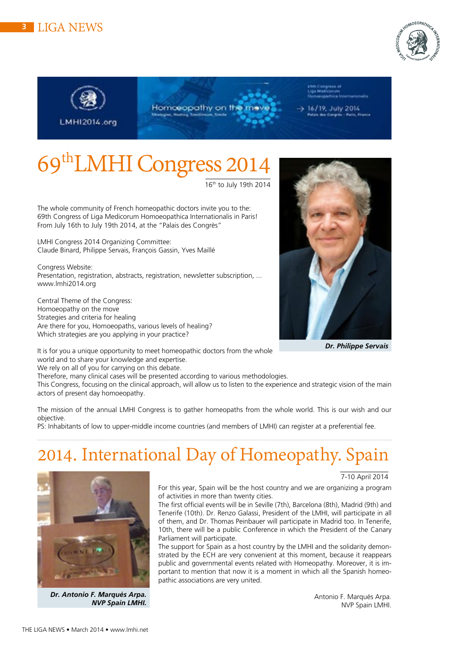*Dr. Antonio F. Marqués Arpa.* 

*NVP Spain LMHI.*

## **<sup>3</sup>** LIGA NEWS

**LMHI2014.org** 

69thLMHI Congress 2014

16th to July 19th 2014

Homoeopathy on the me

The whole community of French homeopathic doctors invite you to the: 69th Congress of Liga Medicorum Homoeopathica Internationalis in Paris! From July 16th to July 19th 2014, at the "Palais des Congrès"

LMHI Congress 2014 Organizing Committee: Claude Binard, Philippe Servais, François Gassin, Yves Maillé

Congress Website: Presentation, registration, abstracts, registration, newsletter subscription, ... www.lmhi2014.org

Central Theme of the Congress: Homoeopathy on the move Strategies and criteria for healing Are there for you, Homoeopaths, various levels of healing? Which strategies are you applying in your practice?

It is for you a unique opportunity to meet homeopathic doctors from the whole world and to share your knowledge and expertise.

We rely on all of you for carrying on this debate.

Therefore, many clinical cases will be presented according to various methodologies.

This Congress, focusing on the clinical approach, will allow us to listen to the experience and strategic vision of the main actors of present day homoeopathy.

The mission of the annual LMHI Congress is to gather homeopaths from the whole world. This is our wish and our objective.

PS: Inhabitants of low to upper-middle income countries (and members of LMHI) can register at a preferential fee.

## 2014. International Day of Homeopathy. Spain

For this year, Spain will be the host country and we are organizing a program of activities in more than twenty cities.

The first official events will be in Seville (7th), Barcelona (8th), Madrid (9th) and Tenerife (10th). Dr. Renzo Galassi, President of the LMHI, will participate in all of them, and Dr. Thomas Peinbauer will participate in Madrid too. In Tenerife, 10th, there will be a public Conference in which the President of the Canary Parliament will participate.

The support for Spain as a host country by the LMHI and the solidarity demonstrated by the ECH are very convenient at this moment, because it reappears public and governmental events related with Homeopathy. Moreover, it is important to mention that now it is a moment in which all the Spanish homeopathic associations are very united.

> Antonio F. Marqués Arpa. NVP Spain LMHI.





6/19, July 2014



7-10 April 2014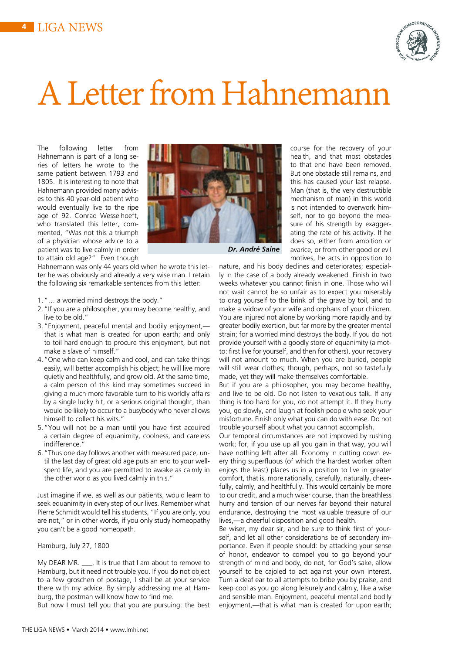

## A Letter from Hahnemann

The following letter from Hahnemann is part of a long series of letters he wrote to the same patient between 1793 and 1805. It is interesting to note that Hahnemann provided many advises to this 40 year-old patient who would eventually live to the ripe age of 92. Conrad Wesselhoeft, who translated this letter, commented, "Was not this a triumph of a physician whose advice to a patient was to live calmly in order to attain old age?" Even though

Hahnemann was only 44 years old when he wrote this letter he was obviously and already a very wise man. I retain the following six remarkable sentences from this letter:

- 1."… a worried mind destroys the body."
- 2."If you are a philosopher, you may become healthy, and live to be old."
- 3."Enjoyment, peaceful mental and bodily enjoyment, that is what man is created for upon earth; and only to toil hard enough to procure this enjoyment, but not make a slave of himself."
- 4."One who can keep calm and cool, and can take things easily, will better accomplish his object; he will live more quietly and healthfully, and grow old. At the same time, a calm person of this kind may sometimes succeed in giving a much more favorable turn to his worldly affairs by a single lucky hit, or a serious original thought, than would be likely to occur to a busybody who never allows himself to collect his wits."
- 5."You will not be a man until you have first acquired a certain degree of equanimity, coolness, and careless indifference.
- 6."Thus one day follows another with measured pace, until the last day of great old age puts an end to your wellspent life, and you are permitted to awake as calmly in the other world as you lived calmly in this."

Just imagine if we, as well as our patients, would learn to seek equanimity in every step of our lives. Remember what Pierre Schmidt would tell his students, "If you are only, you are not," or in other words, if you only study homeopathy you can't be a good homeopath.

#### Hamburg, July 27, 1800

My DEAR MR. \_\_\_, It is true that I am about to remove to Hamburg, but it need not trouble you. If you do not object to a few groschen of postage, I shall be at your service there with my advice. By simply addressing me at Hamburg, the postman will know how to find me.

But now I must tell you that you are pursuing: the best



*Dr. André Saine*

motives, he acts in opposition to nature, and his body declines and deteriorates; especially in the case of a body already weakened. Finish in two weeks whatever you cannot finish in one. Those who will not wait cannot be so unfair as to expect you miserably to drag yourself to the brink of the grave by toil, and to make a widow of your wife and orphans of your children. You are injured not alone by working more rapidly and by greater bodily exertion, but far more by the greater mental strain; for a worried mind destroys the body. If you do not provide yourself with a goodly store of equanimity (a motto: first live for yourself, and then for others), your recovery will not amount to much. When you are buried, people will still wear clothes; though, perhaps, not so tastefully made, yet they will make themselves comfortable.

course for the recovery of your health, and that most obstacles to that end have been removed. But one obstacle still remains, and this has caused your last relapse. Man (that is, the very destructible mechanism of man) in this world is not intended to overwork himself, nor to go beyond the measure of his strength by exaggerating the rate of his activity. If he does so, either from ambition or avarice, or from other good or evil

But if you are a philosopher, you may become healthy, and live to be old. Do not listen to vexatious talk. If any thing is too hard for you, do not attempt it. If they hurry you, go slowly, and laugh at foolish people who seek your misfortune. Finish only what you can do with ease. Do not trouble yourself about what you cannot accomplish.

Our temporal circumstances are not improved by rushing work; for, if you use up all you gain in that way, you will have nothing left after all. Economy in cutting down every thing superfluous (of which the hardest worker often enjoys the least) places us in a position to live in greater comfort, that is, more rationally, carefully, naturally, cheerfully, calmly, and healthfully. This would certainly be more to our credit, and a much wiser course, than the breathless hurry and tension of our nerves far beyond their natural endurance, destroying the most valuable treasure of our lives,—a cheerful disposition and good health.

Be wiser, my dear sir, and be sure to think first of yourself, and let all other considerations be of secondary importance. Even if people should: by attacking your sense of honor, endeavor to compel you to go beyond your strength of mind and body, do not, for God's sake, allow yourself to be cajoled to act against your own interest. Turn a deaf ear to all attempts to bribe you by praise, and keep cool as you go along leisurely and calmly, like a wise and sensible man. Enjoyment, peaceful mental and bodily enjoyment,—that is what man is created for upon earth;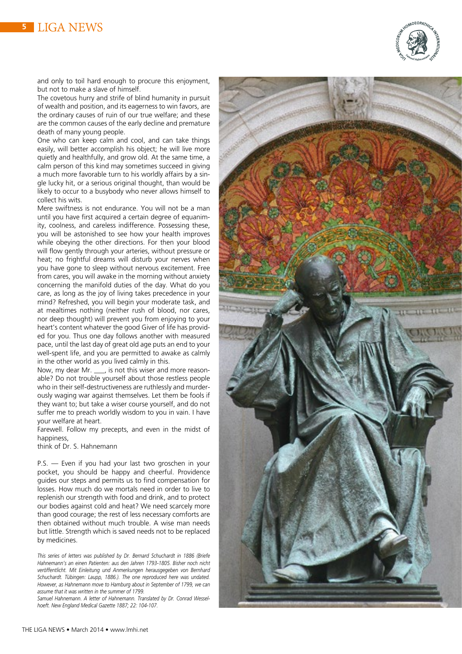

and only to toil hard enough to procure this enjoyment, but not to make a slave of himself.

The covetous hurry and strife of blind humanity in pursuit of wealth and position, and its eagerness to win favors, are the ordinary causes of ruin of our true welfare; and these are the common causes of the early decline and premature death of many young people.

One who can keep calm and cool, and can take things easily, will better accomplish his object; he will live more quietly and healthfully, and grow old. At the same time, a calm person of this kind may sometimes succeed in giving a much more favorable turn to his worldly affairs by a single lucky hit, or a serious original thought, than would be likely to occur to a busybody who never allows himself to collect his wits.

Mere swiftness is not endurance. You will not be a man until you have first acquired a certain degree of equanimity, coolness, and careless indifference. Possessing these, you will be astonished to see how your health improves while obeying the other directions. For then your blood will flow gently through your arteries, without pressure or heat; no frightful dreams will disturb your nerves when you have gone to sleep without nervous excitement. Free from cares, you will awake in the morning without anxiety concerning the manifold duties of the day. What do you care, as long as the joy of living takes precedence in your mind? Refreshed, you will begin your moderate task, and at mealtimes nothing (neither rush of blood, nor cares, nor deep thought) will prevent you from enjoying to your heart's content whatever the good Giver of life has provided for you. Thus one day follows another with measured pace, until the last day of great old age puts an end to your well-spent life, and you are permitted to awake as calmly in the other world as you lived calmly in this.

Now, my dear Mr. \_\_\_, is not this wiser and more reasonable? Do not trouble yourself about those restless people who in their self-destructiveness are ruthlessly and murderously waging war against themselves. Let them be fools if they want to; but take a wiser course yourself, and do not suffer me to preach worldly wisdom to you in vain. I have your welfare at heart.

Farewell. Follow my precepts, and even in the midst of happiness,

think of Dr. S. Hahnemann

P.S. — Even if you had your last two groschen in your pocket, you should be happy and cheerful. Providence guides our steps and permits us to find compensation for losses. How much do we mortals need in order to live to replenish our strength with food and drink, and to protect our bodies against cold and heat? We need scarcely more than good courage; the rest of less necessary comforts are then obtained without much trouble. A wise man needs but little. Strength which is saved needs not to be replaced by medicines.

*This series of letters was published by Dr. Bernard Schuchardt in 1886 (Briefe Hahnemann's an einen Patienten: aus den Jahren 1793-1805. Bisher noch nicht veröffentlicht. Mit Einleitung und Anmerkungen herausgegeben von Bernhard*  Schuchardt. Tübingen: Laupp, 1886.). The one reproduced here was undated. *However, as Hahnemann move to Hamburg about in September of 1799, we can assume that it was written in the summer of 1799.* 

*Samuel Hahnemann. A letter of Hahnemann. Translated by Dr. Conrad Wesselhoeft. New England Medical Gazette 1887; 22: 104-107.*

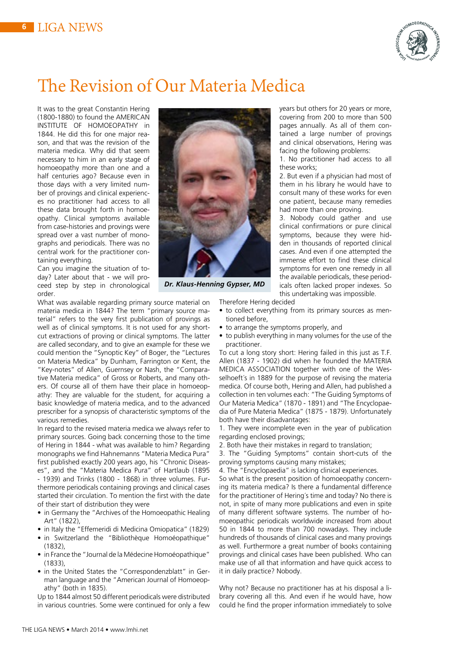

## The Revision of Our Materia Medica

It was to the great Constantin Hering (1800-1880) to found the AMERICAN INSTITUTE OF HOMOEOPATHY in 1844. He did this for one major reason, and that was the revision of the materia medica. Why did that seem necessary to him in an early stage of homoeopathy more than one and a half centuries ago? Because even in those days with a very limited number of provings and clinical experiences no practitioner had access to all these data brought forth in homoeopathy. Clinical symptoms available from case-histories and provings were spread over a vast number of monographs and periodicals. There was no central work for the practitioner containing everything.

Can you imagine the situation of today? Later about that - we will proceed step by step in chronological order.

What was available regarding primary source material on materia medica in 1844? The term "primary source material" refers to the very first publication of provings as well as of clinical symptoms. It is not used for any shortcut extractions of proving or clinical symptoms. The latter are called secondary, and to give an example for these we could mention the "Synoptic Key" of Boger, the "Lectures on Materia Medica" by Dunham, Farrington or Kent, the "Key-notes" of Allen, Guernsey or Nash, the "Comparative Materia medica" of Gross or Roberts, and many others. Of course all of them have their place in homoeopathy: They are valuable for the student, for acquiring a basic knowledge of materia medica, and to the advanced prescriber for a synopsis of characteristic symptoms of the various remedies.

In regard to the revised materia medica we always refer to primary sources. Going back concerning those to the time of Hering in 1844 - what was available to him? Regarding monographs we find Hahnemanns "Materia Medica Pura" first published exactly 200 years ago, his "Chronic Diseases", and the "Materia Medica Pura" of Hartlaub (1895 - 1939) and Trinks (1800 - 1868) in three volumes. Furthermore periodicals containing provings and clinical cases started their circulation. To mention the first with the date of their start of distribution they were

- in Germany the "Archives of the Homoeopathic Healing Art" (1822),
- in Italy the "Effemeridi di Medicina Omiopatica" (1829)
- in Switzerland the "Bibliothèque Homoéopathique" (1832),
- in France the "Journal de la Médecine Homoéopathique" (1833),
- in the United States the "Correspondenzblatt" in German language and the "American Journal of Homoeopathy" (both in 1835).

Up to 1844 almost 50 different periodicals were distributed in various countries. Some were continued for only a few



*Dr. Klaus-Henning Gypser, MD*

years but others for 20 years or more, covering from 200 to more than 500 pages annually. As all of them contained a large number of provings and clinical observations, Hering was facing the following problems:

1. No practitioner had access to all these works;

2. But even if a physician had most of them in his library he would have to consult many of these works for even one patient, because many remedies had more than one proving.

3. Nobody could gather and use clinical confirmations or pure clinical symptoms, because they were hidden in thousands of reported clinical cases. And even if one attempted the immense effort to find these clinical symptoms for even one remedy in all the available periodicals, these periodicals often lacked proper indexes. So this undertaking was impossible.

Therefore Hering decided

- to collect everything from its primary sources as mentioned before,
- to arrange the symptoms properly, and
- to publish everything in many volumes for the use of the practitioner.

To cut a long story short: Hering failed in this just as T.F. Allen (1837 - 1902) did when he founded the MATERIA MEDICA ASSOCIATION together with one of the Wesselhoeft's in 1889 for the purpose of revising the materia medica. Of course both, Hering and Allen, had published a collection in ten volumes each: "The Guiding Symptoms of Our Materia Medica" (1870 - 1891) and "The Encyclopaedia of Pure Materia Medica" (1875 - 1879). Unfortunately both have their disadvantages:

1. They were incomplete even in the year of publication regarding enclosed provings;

2. Both have their mistakes in regard to translation;

3. The "Guiding Symptoms" contain short-cuts of the proving symptoms causing many mistakes;

4. The "Encyclopaedia" is lacking clinical experiences.

So what is the present position of homoeopathy concerning its materia medica? Is there a fundamental difference for the practitioner of Hering´s time and today? No there is not, in spite of many more publications and even in spite of many different software systems. The number of homoeopathic periodicals worldwide increased from about 50 in 1844 to more than 700 nowadays. They include hundreds of thousands of clinical cases and many provings as well. Furthermore a great number of books containing provings and clinical cases have been published. Who can make use of all that information and have quick access to it in daily practice? Nobody.

Why not? Because no practitioner has at his disposal a library covering all this. And even if he would have, how could he find the proper information immediately to solve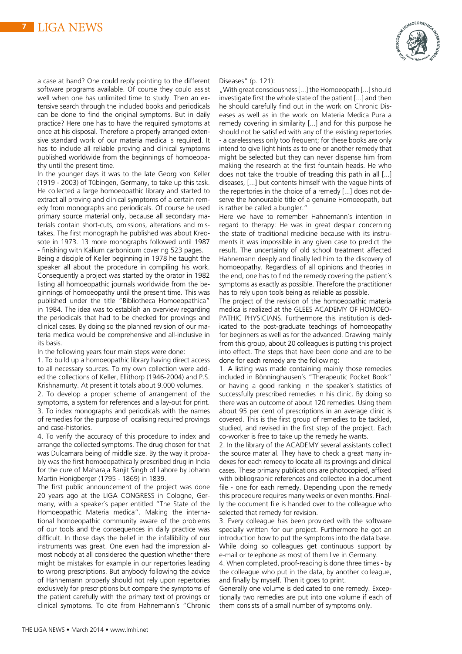

In the younger days it was to the late Georg von Keller (1919 - 2003) of Tübingen, Germany, to take up this task. He collected a large homoeopathic library and started to extract all proving and clinical symptoms of a certain remedy from monographs and periodicals. Of course he used primary source material only, because all secondary materials contain short-cuts, omissions, alterations and mistakes. The first monograph he published was about Kreosote in 1973. 13 more monographs followed until 1987 - finishing with Kalium carbonicum covering 523 pages.

Being a disciple of Keller beginning in 1978 he taught the speaker all about the procedure in compiling his work. Consequently a project was started by the orator in 1982 listing all homoeopathic journals worldwide from the beginnings of homoeopathy until the present time. This was published under the title "Bibliotheca Homoeopathica" in 1984. The idea was to establish an overview regarding the periodicals that had to be checked for provings and clinical cases. By doing so the planned revision of our materia medica would be comprehensive and all-inclusive in its basis.

In the following years four main steps were done:

1. To build up a homoeopathic library having direct access to all necessary sources. To my own collection were added the collections of Keller, Ellithorp (1946-2004) and P.S. Krishnamurty. At present it totals about 9.000 volumes.

2. To develop a proper scheme of arrangement of the symptoms, a system for references and a lay-out for print. 3. To index monographs and periodicals with the names of remedies for the purpose of localising required provings and case-histories.

4. To verify the accuracy of this procedure to index and arrange the collected symptoms. The drug chosen for that was Dulcamara being of middle size. By the way it probably was the first homoeopathically prescribed drug in India for the cure of Maharaja Ranjit Singh of Lahore by Johann Martin Honigberger (1795 - 1869) in 1839.

The first public announcement of the project was done 20 years ago at the LIGA CONGRESS in Cologne, Germany, with a speaker´s paper entitled "The State of the Homoeopathic Materia medica". Making the international homoeopathic community aware of the problems of our tools and the consequences in daily practice was difficult. In those days the belief in the infallibility of our instruments was great. One even had the impression almost nobody at all considered the question whether there might be mistakes for example in our repertories leading to wrong prescriptions. But anybody following the advice of Hahnemann properly should not rely upon repertories exclusively for prescriptions but compare the symptoms of the patient carefully with the primary text of provings or clinical symptoms. To cite from Hahnemann´s "Chronic



Diseases" (p. 121):

"With great consciousness [...] the Homoeopath [...] should investigate first the whole state of the patient [...] and then he should carefully find out in the work on Chronic Diseases as well as in the work on Materia Medica Pura a remedy covering in similarity [...] and for this purpose he should not be satisfied with any of the existing repertories - a carelessness only too frequent; for these books are only intend to give light hints as to one or another remedy that might be selected but they can never dispense him from making the research at the first fountain heads. He who does not take the trouble of treading this path in all [...] diseases, [...] but contents himself with the vague hints of the repertories in the choice of a remedy [...] does not deserve the honourable title of a genuine Homoeopath, but is rather be called a bungler."

Here we have to remember Hahnemann´s intention in regard to therapy: He was in great despair concerning the state of traditional medicine because with its instruments it was impossible in any given case to predict the result. The uncertainty of old school treatment affected Hahnemann deeply and finally led him to the discovery of homoeopathy. Regardless of all opinions and theories in the end, one has to find the remedy covering the patient´s symptoms as exactly as possible. Therefore the practitioner has to rely upon tools being as reliable as possible.

The project of the revision of the homoeopathic materia medica is realized at the GLEES ACADEMY OF HOMOEO-PATHIC PHYSICIANS. Furthermore this institution is dedicated to the post-graduate teachings of homoeopathy for beginners as well as for the advanced. Drawing mainly from this group, about 20 colleagues is putting this project into effect. The steps that have been done and are to be done for each remedy are the following:

1. A listing was made containing mainly those remedies included in Bönninghausen´s "Therapeutic Pocket Book" or having a good ranking in the speaker´s statistics of successfully prescribed remedies in his clinic. By doing so there was an outcome of about 120 remedies. Using them about 95 per cent of prescriptions in an average clinic is covered. This is the first group of remedies to be tackled, studied, and revised in the first step of the project. Each co-worker is free to take up the remedy he wants.

2. In the library of the ACADEMY several assistants collect the source material. They have to check a great many indexes for each remedy to locate all its provings and clinical cases. These primary publications are photocopied, affixed with bibliographic references and collected in a document file - one for each remedy. Depending upon the remedy this procedure requires many weeks or even months. Finally the document file is handed over to the colleague who selected that remedy for revision.

3. Every colleague has been provided with the software specially written for our project. Furthermore he got an introduction how to put the symptoms into the data base. While doing so colleagues get continuous support by e-mail or telephone as most of them live in Germany.

4. When completed, proof-reading is done three times - by the colleague who put in the data, by another colleague, and finally by myself. Then it goes to print.

Generally one volume is dedicated to one remedy. Exceptionally two remedies are put into one volume if each of them consists of a small number of symptoms only.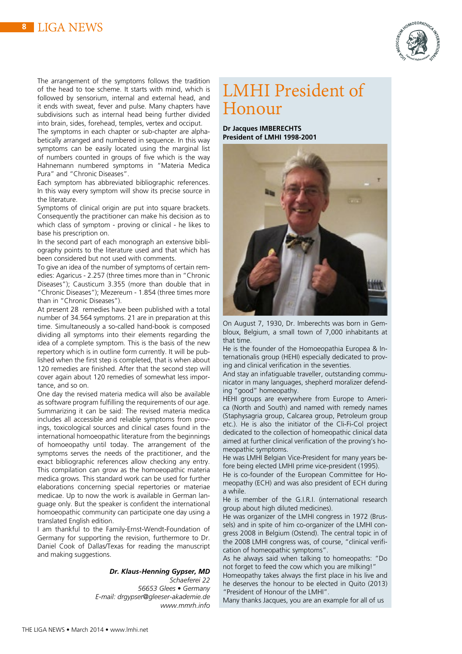

The arrangement of the symptoms follows the tradition of the head to toe scheme. It starts with mind, which is followed by sensorium, internal and external head, and it ends with sweat, fever and pulse. Many chapters have subdivisions such as internal head being further divided into brain, sides, forehead, temples, vertex and occiput.

The symptoms in each chapter or sub-chapter are alphabetically arranged and numbered in sequence. In this way symptoms can be easily located using the marginal list of numbers counted in groups of five which is the way Hahnemann numbered symptoms in "Materia Medica Pura" and "Chronic Diseases".

Each symptom has abbreviated bibliographic references. In this way every symptom will show its precise source in the literature.

Symptoms of clinical origin are put into square brackets. Consequently the practitioner can make his decision as to which class of symptom - proving or clinical - he likes to base his prescription on.

In the second part of each monograph an extensive bibliography points to the literature used and that which has been considered but not used with comments.

To give an idea of the number of symptoms of certain remedies: Agaricus - 2.257 (three times more than in "Chronic Diseases"); Causticum 3.355 (more than double that in "Chronic Diseases"); Mezereum - 1.854 (three times more than in "Chronic Diseases").

At present 28 remedies have been published with a total number of 34.564 symptoms. 21 are in preparation at this time. Simultaneously a so-called hand-book is composed dividing all symptoms into their elements regarding the idea of a complete symptom. This is the basis of the new repertory which is in outline form currently. It will be published when the first step is completed, that is when about 120 remedies are finished. After that the second step will cover again about 120 remedies of somewhat less importance, and so on.

One day the revised materia medica will also be available as software program fulfilling the requirements of our age. Summarizing it can be said: The revised materia medica includes all accessible and reliable symptoms from provings, toxicological sources and clinical cases found in the international homoeopathic literature from the beginnings of homoeopathy until today. The arrangement of the symptoms serves the needs of the practitioner, and the exact bibliographic references allow checking any entry. This compilation can grow as the homoeopathic materia medica grows. This standard work can be used for further elaborations concerning special repertories or materiae medicae. Up to now the work is available in German language only. But the speaker is confident the international homoeopathic community can participate one day using a translated English edition.

I am thankful to the Family-Ernst-Wendt-Foundation of Germany for supporting the revision, furthermore to Dr. Daniel Cook of Dallas/Texas for reading the manuscript and making suggestions.

#### *Dr. Klaus-Henning Gypser, MD*

*Schaeferei 22*

*56653 Glees • Germany E-mail: drgypser@gleeser-akademie.de www.mmrh.info*

## LMHI President of Honour

**Dr Jacques IMBERECHTS President of LMHI 1998-2001**



On August 7, 1930, Dr. Imberechts was born in Gembloux, Belgium, a small town of 7,000 inhabitants at that time.

He is the founder of the Homoeopathia Europea & Internationalis group (HEHI) especially dedicated to proving and clinical verification in the seventies.

And stay an infatiguable traveller, outstanding communicator in many languages, shepherd moralizer defending "good" homeopathy.

HEHI groups are everywhere from Europe to America (North and South) and named with remedy names (Staphysagria group, Calcarea group, Petroleum group etc.). He is also the initiator of the Cli-Fi-Col project dedicated to the collection of homeopathic clinical data aimed at further clinical verification of the proving's homeopathic symptoms.

He was LMHI Belgian Vice-President for many years before being elected LMHI prime vice-president (1995).

He is co-founder of the European Committee for Homeopathy (ECH) and was also president of ECH during a while.

He is member of the G.I.R.I. (international research group about high diluted medicines).

He was organizer of the LMHI congress in 1972 (Brussels) and in spite of him co-organizer of the LMHI congress 2008 in Belgium (Ostend). The central topic in of the 2008 LMHI congress was, of course, "clinical verification of homeopathic symptoms".

As he always said when talking to homeopaths: "Do not forget to feed the cow which you are milking!"

Homeopathy takes always the first place in his live and he deserves the honour to be elected in Quito (2013) "President of Honour of the LMHI".

Many thanks Jacques, you are an example for all of us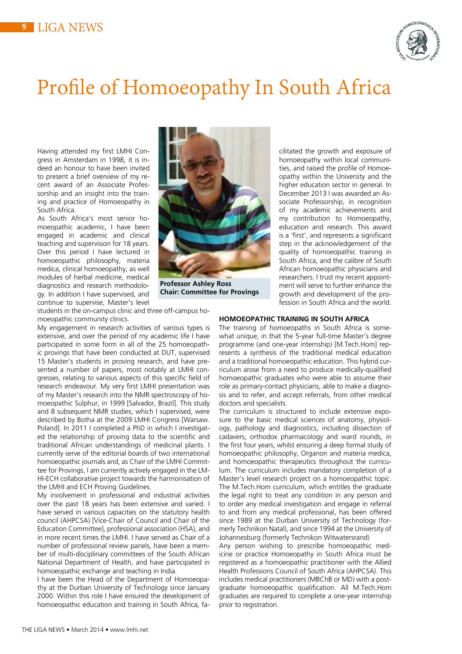

## Profile of Homoeopathy In South Africa

Having attended my first LMHI Congress in Amsterdam in 1998, it is indeed an honour to have been invited to present a brief overview of my recent award of an Associate Professorship and an insight into the training and practice of Homoeopathy in South Africa.

As South Africa's most senior homoeopathic academic, I have been engaged in academic and clinical teaching and supervision for 18 years. Over this period I have lectured in homoeopathic philosophy, materia medica, clinical homoeopathy, as well modules of herbal medicine, medical diagnostics and research methodology. In addition I have supervised, and continue to supervise, Master's level



**Professor Ashley Ross Chair: Committee for Provings** 

students in the on-campus clinic and three off-campus homoeopathic community clinics.

My engagement in research activities of various types is extensive, and over the period of my academic life I have participated in some form in all of the 25 homoeopathic provings that have been conducted at DUT, supervised 15 Master's students in proving research, and have presented a number of papers, most notably at LMHI congresses, relating to various aspects of this specific field of research endeavour. My very first LMHI presentation was of my Master's research into the NMR spectroscopy of homoeopathic Sulphur, in 1999 [Salvador, Brazil]. This study and 8 subsequent NMR studies, which I supervised, were described by Botha at the 2009 LMHI Congress [Warsaw. Poland]. In 2011 I completed a PhD in which I investigated the relationship of proving data to the scientific and traditional African understandings of medicinal plants. I currently serve of the editorial boards of two international homoeopathic journals and, as Chair of the LMHI Committee for Provings, I am currently actively engaged in the LM-HI-ECH collaborative project towards the harmonisation of the LMHI and ECH Proving Guidelines.

My involvement in professional and industrial activities over the past 18 years has been extensive and varied. I have served in various capacities on the statutory health council (AHPCSA) [Vice-Chair of Council and Chair of the Education Committee], professional association (HSA), and in more recent times the LMHI. I have served as Chair of a number of professional review panels, have been a member of multi-disciplinary committees of the South African National Department of Health, and have participated in homoeopathic exchange and teaching in India.

I have been the Head of the Department of Homoeopathy at the Durban University of Technology since January 2000. Within this role I have ensured the development of homoeopathic education and training in South Africa, facilitated the growth and exposure of homoeopathy within local communities, and raised the profile of Homoeopathy within the University and the higher education sector in general. In December 2013 I was awarded an Associate Professorship, in recognition of my academic achievements and my contribution to Homoeopathy, education and research. This award is a 'first', and represents a significant step in the acknowledgement of the quality of homoeopathic training in South Africa, and the calibre of South African homoeopathic physicians and researchers. I trust my recent appointment will serve to further enhance the growth and development of the profession in South Africa and the world.

#### **HOMOEOPATHIC TRAINING IN SOUTH AFRICA**

The training of homoeopaths in South Africa is somewhat unique, in that the 5-year full-time Master's degree programme (and one-year internship) [M.Tech.Hom] represents a synthesis of the traditional medical education and a traditional homoeopathic education. This hybrid curriculum arose from a need to produce medically-qualified homoeopathic graduates who were able to assume their role as primary-contact physicians, able to make a diagnosis and to refer, and accept referrals, from other medical doctors and specialists.

The curriculum is structured to include extensive exposure to the basic medical sciences of anatomy, physiology, pathology and diagnostics, including dissection of cadavers, orthodox pharmacology and ward rounds, in the first four years, whilst ensuring a deep formal study of homoeopathic philosophy, Organon and materia medica, and homoeopathic therapeutics throughout the curriculum. The curriculum includes mandatory completion of a Master's level research project on a homoeopathic topic. The M.Tech.Hom curriculum, which entitles the graduate the legal right to treat any condition in any person and to order any medical investigation and engage in referral to and from any medical professional, has been offered since 1989 at the Durban University of Technology (formerly Technikon Natal), and since 1994 at the University of Johannesburg (formerly Technikon Witwatersrand)

Any person wishing to prescribe homoeopathic medicine or practice Homoeopathy in South Africa must be registered as a homoeopathic practitioner with the Allied Health Professions Council of South Africa (AHPCSA). This includes medical practitioners (MBChB or MD) with a postgraduate homoeopathic qualification. All M.Tech.Hom graduates are required to complete a one-year internship prior to registration.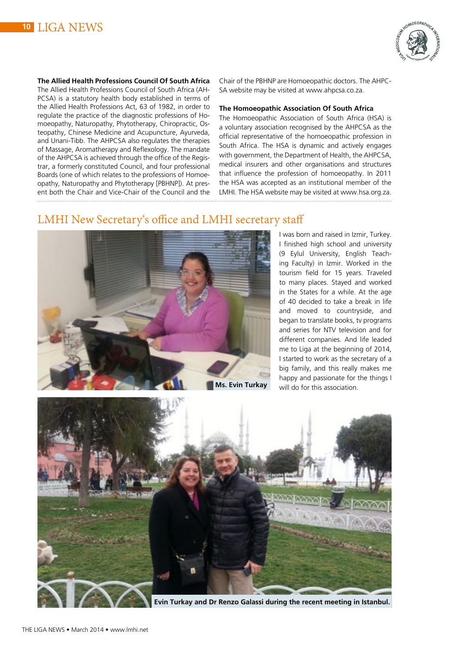



**The Allied Health Professions Council Of South Africa** The Allied Health Professions Council of South Africa (AH-PCSA) is a statutory health body established in terms of the Allied Health Professions Act, 63 of 1982, in order to regulate the practice of the diagnostic professions of Homoeopathy, Naturopathy, Phytotherapy, Chiropractic, Osteopathy, Chinese Medicine and Acupuncture, Ayurveda, and Unani-Tibb. The AHPCSA also regulates the therapies of Massage, Aromatherapy and Reflexology. The mandate of the AHPCSA is achieved through the office of the Registrar, a formerly constituted Council, and four professional Boards (one of which relates to the professions of Homoeopathy, Naturopathy and Phytotherapy [PBHNP]). At present both the Chair and Vice-Chair of the Council and the

Chair of the PBHNP are Homoeopathic doctors. The AHPC-SA website may be visited at www.ahpcsa.co.za.

#### **The Homoeopathic Association Of South Africa**

The Homoeopathic Association of South Africa (HSA) is a voluntary association recognised by the AHPCSA as the official representative of the homoeopathic profession in South Africa. The HSA is dynamic and actively engages with government, the Department of Health, the AHPCSA, medical insurers and other organisations and structures that influence the profession of homoeopathy. In 2011 the HSA was accepted as an institutional member of the LMHI. The HSA website may be visited at www.hsa.org.za.

## LMHI New Secretary's office and LMHI secretary staff



I was born and raised in Izmir, Turkey. I finished high school and university (9 Eylul University, English Teaching Faculty) in Izmir. Worked in the tourism field for 15 years. Traveled to many places. Stayed and worked in the States for a while. At the age of 40 decided to take a break in life and moved to countryside, and began to translate books, tv programs and series for NTV television and for different companies. And life leaded me to Liga at the beginning of 2014, I started to work as the secretary of a big family, and this really makes me happy and passionate for the things I will do for this association.



**Evin Turkay and Dr Renzo Galassi during the recent meeting in Istanbul.**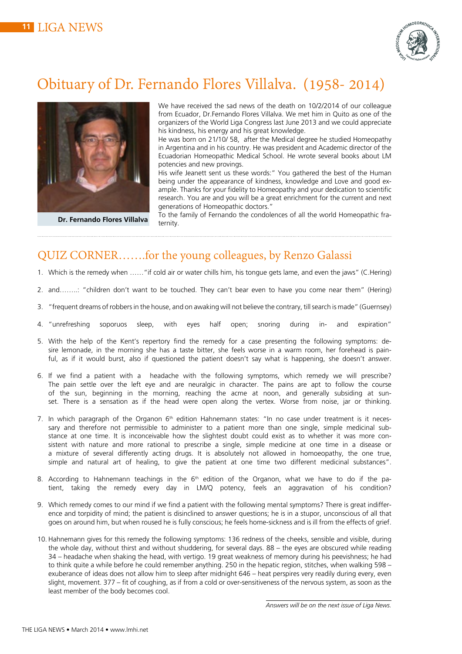

## Obituary of Dr. Fernando Flores Villalva. (1958- 2014)



**Dr. Fernando Flores Villalva**

We have received the sad news of the death on 10/2/2014 of our colleague from Ecuador, Dr.Fernando Flores Villalva. We met him in Quito as one of the organizers of the World Liga Congress last June 2013 and we could appreciate his kindness, his energy and his great knowledge.

He was born on 21/10/ 58, after the Medical degree he studied Homeopathy in Argentina and in his country. He was president and Academic director of the Ecuadorian Homeopathic Medical School. He wrote several books about LM potencies and new provings.

His wife Jeanett sent us these words:" You gathered the best of the Human being under the appearance of kindness, knowledge and Love and good example. Thanks for your fidelity to Homeopathy and your dedication to scientific research. You are and you will be a great enrichment for the current and next generations of Homeopathic doctors."

To the family of Fernando the condolences of all the world Homeopathic fraternity.

## QUIZ CORNER…….for the young colleagues, by Renzo Galassi

- 1. Which is the remedy when ……"if cold air or water chills him, his tongue gets lame, and even the jaws" (C.Hering)
- 2. and……..: "children don't want to be touched. They can't bear even to have you come near them" (Hering)
- 3. "frequent dreams of robbers in the house, and on awaking will not believe the contrary, till search is made" (Guernsey)
- 4. "unrefreshing soporuos sleep, with eyes half open; snoring during in- and expiration"
- 5. With the help of the Kent's repertory find the remedy for a case presenting the following symptoms: desire lemonade, in the morning she has a taste bitter, she feels worse in a warm room, her forehead is painful, as if it would burst, also if questioned the patient doesn't say what is happening, she doesn't answer.
- 6. If we find a patient with a headache with the following symptoms, which remedy we will prescribe? The pain settle over the left eye and are neuralgic in character. The pains are apt to follow the course of the sun, beginning in the morning, reaching the acme at noon, and generally subsiding at sunset. There is a sensation as if the head were open along the vertex. Worse from noise, jar or thinking.
- 7. In which paragraph of the Organon 6<sup>th</sup> edition Hahnemann states: "In no case under treatment is it necessary and therefore not permissible to administer to a patient more than one single, simple medicinal substance at one time. It is inconceivable how the slightest doubt could exist as to whether it was more consistent with nature and more rational to prescribe a single, simple medicine at one time in a disease or a mixture of several differently acting drugs. It is absolutely not allowed in homoeopathy, the one true, simple and natural art of healing, to give the patient at one time two different medicinal substances".
- 8. According to Hahnemann teachings in the 6<sup>th</sup> edition of the Organon, what we have to do if the patient, taking the remedy every day in LM/Q potency, feels an aggravation of his condition?
- 9. Which remedy comes to our mind if we find a patient with the following mental symptoms? There is great indifference and torpidity of mind; the patient is disinclined to answer questions; he is in a stupor, unconscious of all that goes on around him, but when roused he is fully conscious; he feels home-sickness and is ill from the effects of grief.
- 10. Hahnemann gives for this remedy the following symptoms: 136 redness of the cheeks, sensible and visible, during the whole day, without thirst and without shuddering, for several days. 88 – the eyes are obscured while reading 34 – headache when shaking the head, with vertigo. 19 great weakness of memory during his peevishness; he had to think quite a while before he could remember anything. 250 in the hepatic region, stitches, when walking 598 – exuberance of ideas does not allow him to sleep after midnight 646 – heat perspires very readily during every, even slight, movement. 377 – fit of coughing, as if from a cold or over-sensitiveness of the nervous system, as soon as the least member of the body becomes cool.

*Answers will be on the next issue of Liga News.*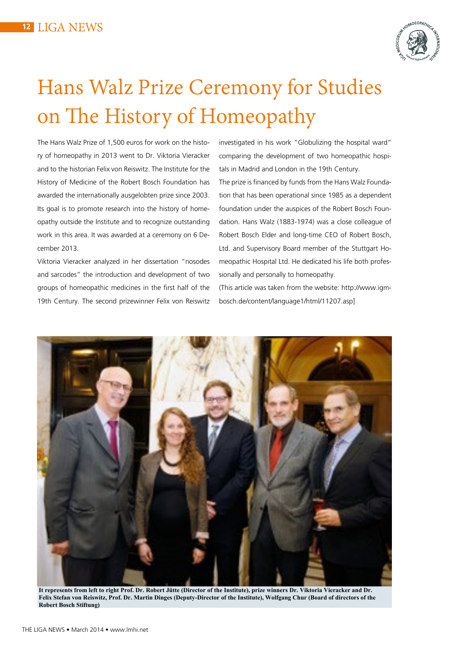

## Hans Walz Prize Ceremony for Studies on The History of Homeopathy

The Hans Walz Prize of 1,500 euros for work on the history of homeopathy in 2013 went to Dr. Viktoria Vieracker and to the historian Felix von Reiswitz. The Institute for the History of Medicine of the Robert Bosch Foundation has awarded the internationally ausgelobten prize since 2003. Its goal is to promote research into the history of homeopathy outside the Institute and to recognize outstanding work in this area. It was awarded at a ceremony on 6 December 2013.

Viktoria Vieracker analyzed in her dissertation "nosodes and sarcodes" the introduction and development of two groups of homeopathic medicines in the first half of the 19th Century. The second prizewinner Felix von Reiswitz investigated in his work "Globulizing the hospital ward" comparing the development of two homeopathic hospitals in Madrid and London in the 19th Century.

The prize is financed by funds from the Hans Walz Foundation that has been operational since 1985 as a dependent foundation under the auspices of the Robert Bosch Foundation. Hans Walz (1883-1974) was a close colleague of Robert Bosch Elder and long-time CEO of Robert Bosch, Ltd. and Supervisory Board member of the Stuttgart Homeopathic Hospital Ltd. He dedicated his life both professionally and personally to homeopathy.

(This article was taken from the website: http://www.igmbosch.de/content/language1/html/11207.asp]



**It represents from left to right Prof. Dr. Robert Jütte (Director of the Institute), prize winners Dr. Viktoria Vieracker and Dr. Felix Stefan von Reiswitz, Prof. Dr. Martin Dinges (Deputy-Director of the Institute), Wolfgang Chur (Board of directors of the Robert Bosch Stiftung)**